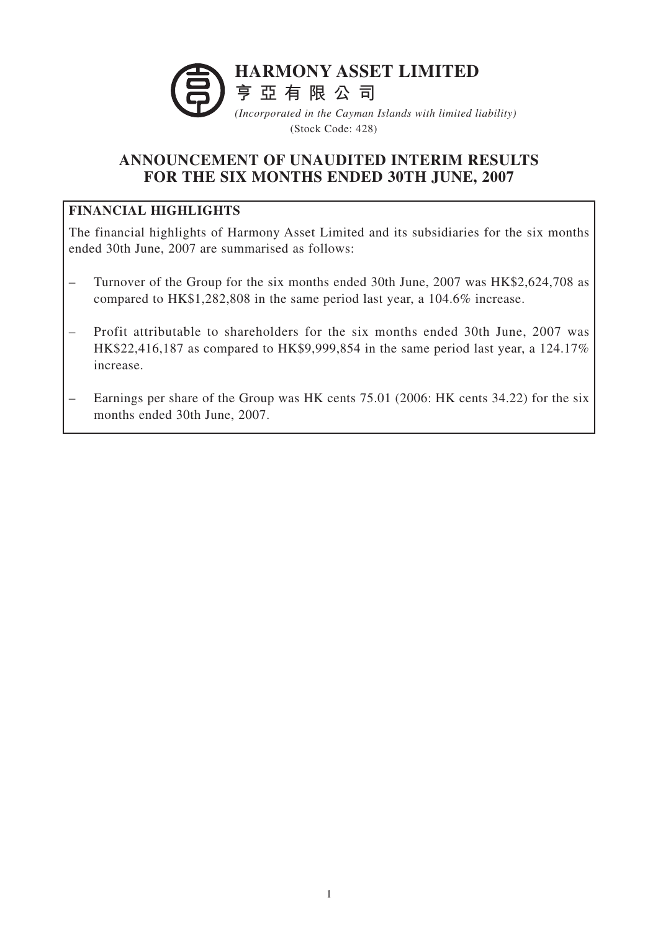

(Stock Code: 428)

# **ANNOUNCEMENT OF UNAUDITED INTERIM RESULTS FOR THE SIX MONTHS ENDED 30TH JUNE, 2007**

# **FINANCIAL HIGHLIGHTS**

The financial highlights of Harmony Asset Limited and its subsidiaries for the six months ended 30th June, 2007 are summarised as follows:

- Turnover of the Group for the six months ended 30th June, 2007 was HK\$2,624,708 as compared to HK\$1,282,808 in the same period last year, a 104.6% increase.
- Profit attributable to shareholders for the six months ended 30th June, 2007 was HK\$22,416,187 as compared to HK\$9,999,854 in the same period last year, a 124.17% increase.
- Earnings per share of the Group was HK cents 75.01 (2006: HK cents 34.22) for the six months ended 30th June, 2007.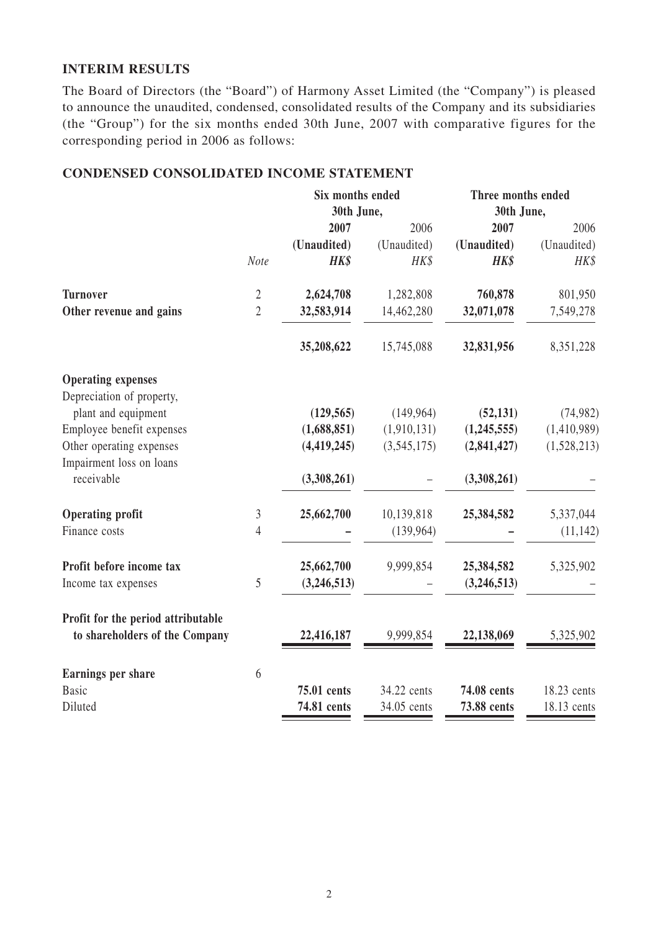#### **INTERIM RESULTS**

The Board of Directors (the "Board") of Harmony Asset Limited (the "Company") is pleased to announce the unaudited, condensed, consolidated results of the Company and its subsidiaries (the "Group") for the six months ended 30th June, 2007 with comparative figures for the corresponding period in 2006 as follows:

## **CONDENSED CONSOLIDATED INCOME STATEMENT**

|                                    |                | Six months ended<br>30th June, |             | Three months ended<br>30th June, |             |
|------------------------------------|----------------|--------------------------------|-------------|----------------------------------|-------------|
|                                    |                |                                |             |                                  |             |
|                                    |                | 2007                           | 2006        | 2007                             | 2006        |
|                                    |                | (Unaudited)                    | (Unaudited) | (Unaudited)                      | (Unaudited) |
|                                    | Note           | <b>HK\$</b>                    | HK\$        | HK\$                             | HK\$        |
| <b>Turnover</b>                    | $\sqrt{2}$     | 2,624,708                      | 1,282,808   | 760,878                          | 801,950     |
| Other revenue and gains            | $\overline{2}$ | 32,583,914                     | 14,462,280  | 32,071,078                       | 7,549,278   |
|                                    |                | 35,208,622                     | 15,745,088  | 32,831,956                       | 8,351,228   |
| <b>Operating expenses</b>          |                |                                |             |                                  |             |
| Depreciation of property,          |                |                                |             |                                  |             |
| plant and equipment                |                | (129, 565)                     | (149, 964)  | (52, 131)                        | (74,982)    |
| Employee benefit expenses          |                | (1,688,851)                    | (1,910,131) | (1,245,555)                      | (1,410,989) |
| Other operating expenses           |                | (4, 419, 245)                  | (3,545,175) | (2,841,427)                      | (1,528,213) |
| Impairment loss on loans           |                |                                |             |                                  |             |
| receivable                         |                | (3,308,261)                    |             | (3,308,261)                      |             |
| <b>Operating profit</b>            | $\mathfrak{Z}$ | 25,662,700                     | 10,139,818  | 25,384,582                       | 5,337,044   |
| Finance costs                      | $\overline{4}$ |                                | (139, 964)  |                                  | (11, 142)   |
| Profit before income tax           |                | 25,662,700                     | 9,999,854   | 25,384,582                       | 5,325,902   |
| Income tax expenses                | 5              | (3,246,513)                    |             | (3,246,513)                      |             |
| Profit for the period attributable |                |                                |             |                                  |             |
| to shareholders of the Company     |                | 22,416,187                     | 9,999,854   | 22,138,069                       | 5,325,902   |
| Earnings per share                 | 6              |                                |             |                                  |             |
| <b>Basic</b>                       |                | 75.01 cents                    | 34.22 cents | 74.08 cents                      | 18.23 cents |
| Diluted                            |                | 74.81 cents                    | 34.05 cents | 73.88 cents                      | 18.13 cents |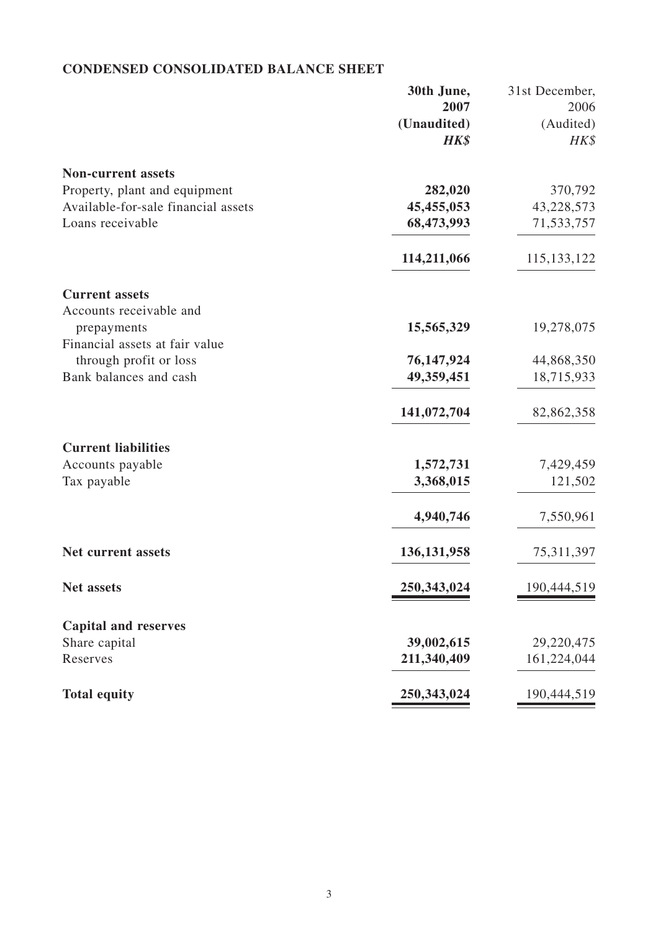# **CONDENSED CONSOLIDATED BALANCE SHEET**

|                                     | 30th June,    | 31st December, |
|-------------------------------------|---------------|----------------|
|                                     | 2007          | 2006           |
|                                     | (Unaudited)   | (Audited)      |
|                                     | HK\$          | HK\$           |
| <b>Non-current assets</b>           |               |                |
| Property, plant and equipment       | 282,020       | 370,792        |
| Available-for-sale financial assets | 45,455,053    | 43,228,573     |
| Loans receivable                    | 68,473,993    | 71,533,757     |
|                                     | 114,211,066   | 115, 133, 122  |
| <b>Current assets</b>               |               |                |
| Accounts receivable and             |               |                |
| prepayments                         | 15,565,329    | 19,278,075     |
| Financial assets at fair value      |               |                |
| through profit or loss              | 76,147,924    | 44,868,350     |
| Bank balances and cash              | 49,359,451    | 18,715,933     |
|                                     | 141,072,704   | 82,862,358     |
| <b>Current liabilities</b>          |               |                |
| Accounts payable                    | 1,572,731     | 7,429,459      |
| Tax payable                         | 3,368,015     | 121,502        |
|                                     | 4,940,746     | 7,550,961      |
| <b>Net current assets</b>           | 136, 131, 958 | 75,311,397     |
| <b>Net assets</b>                   | 250,343,024   | 190,444,519    |
| <b>Capital and reserves</b>         |               |                |
| Share capital                       | 39,002,615    | 29,220,475     |
| Reserves                            | 211,340,409   | 161,224,044    |
|                                     |               |                |
| <b>Total equity</b>                 | 250,343,024   | 190,444,519    |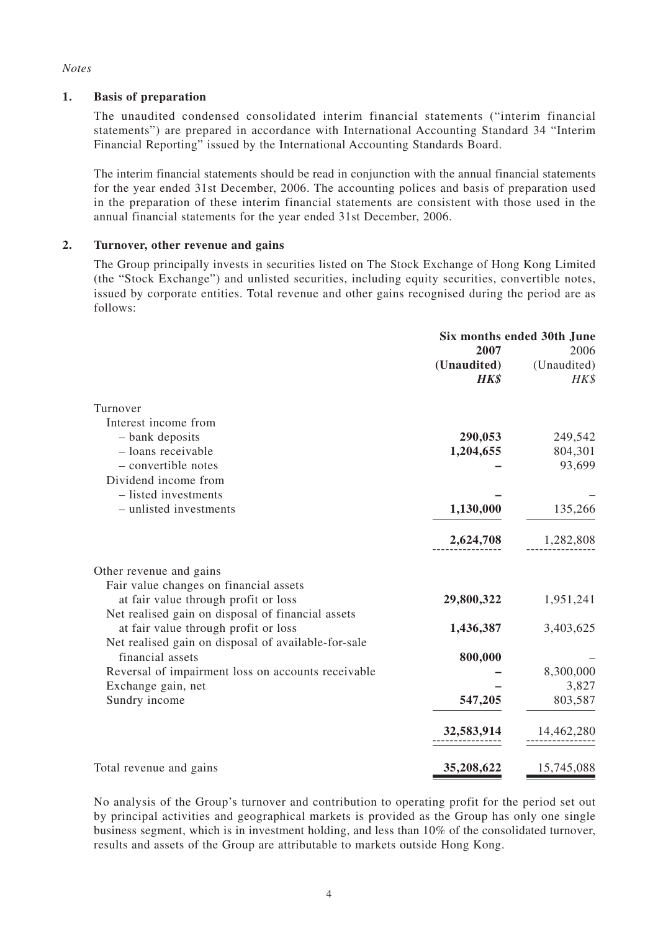#### *Notes*

#### **1. Basis of preparation**

The unaudited condensed consolidated interim financial statements ("interim financial statements") are prepared in accordance with International Accounting Standard 34 "Interim Financial Reporting" issued by the International Accounting Standards Board.

The interim financial statements should be read in conjunction with the annual financial statements for the year ended 31st December, 2006. The accounting polices and basis of preparation used in the preparation of these interim financial statements are consistent with those used in the annual financial statements for the year ended 31st December, 2006.

#### **2. Turnover, other revenue and gains**

The Group principally invests in securities listed on The Stock Exchange of Hong Kong Limited (the "Stock Exchange") and unlisted securities, including equity securities, convertible notes, issued by corporate entities. Total revenue and other gains recognised during the period are as follows:

|                                                     | Six months ended 30th June |             |
|-----------------------------------------------------|----------------------------|-------------|
|                                                     | 2007                       | 2006        |
|                                                     | (Unaudited)                | (Unaudited) |
|                                                     | HK\$                       | HK\$        |
| Turnover                                            |                            |             |
| Interest income from                                |                            |             |
| - bank deposits                                     | 290,053                    | 249,542     |
| - loans receivable                                  | 1,204,655                  | 804,301     |
| - convertible notes                                 |                            | 93,699      |
| Dividend income from                                |                            |             |
| - listed investments                                |                            |             |
| - unlisted investments                              | 1,130,000                  | 135,266     |
|                                                     | 2,624,708                  | 1,282,808   |
| Other revenue and gains                             |                            |             |
| Fair value changes on financial assets              |                            |             |
| at fair value through profit or loss                | 29,800,322                 | 1,951,241   |
| Net realised gain on disposal of financial assets   |                            |             |
| at fair value through profit or loss                | 1,436,387                  | 3,403,625   |
| Net realised gain on disposal of available-for-sale |                            |             |
| financial assets                                    | 800,000                    |             |
| Reversal of impairment loss on accounts receivable  |                            | 8,300,000   |
| Exchange gain, net                                  |                            | 3,827       |
| Sundry income                                       | 547,205                    | 803,587     |
|                                                     | 32,583,914                 | 14,462,280  |
| Total revenue and gains                             | 35,208,622                 | 15,745,088  |

No analysis of the Group's turnover and contribution to operating profit for the period set out by principal activities and geographical markets is provided as the Group has only one single business segment, which is in investment holding, and less than 10% of the consolidated turnover, results and assets of the Group are attributable to markets outside Hong Kong.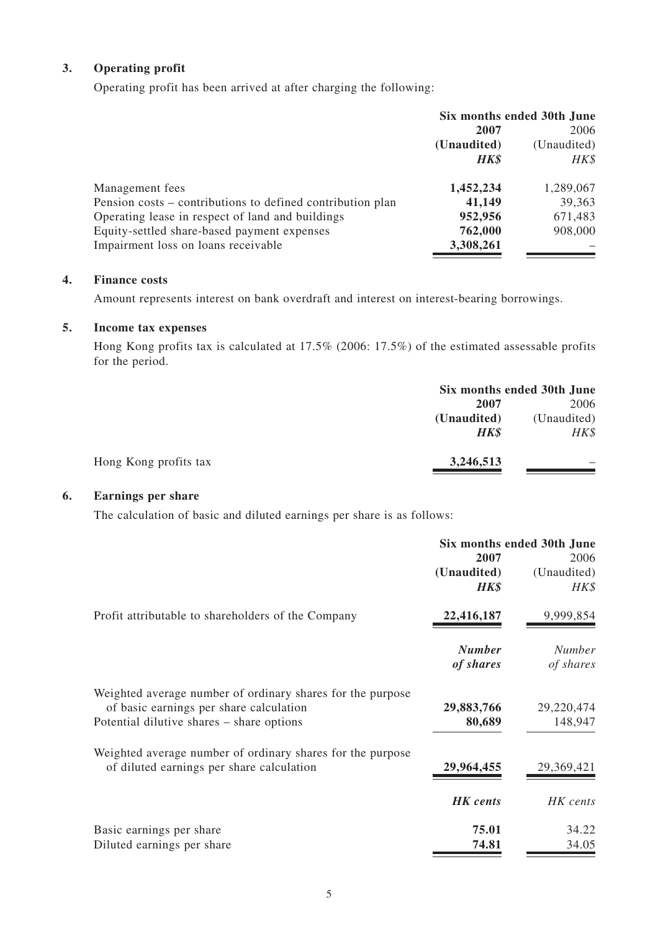## **3. Operating profit**

Operating profit has been arrived at after charging the following:

|                                                            | Six months ended 30th June |             |
|------------------------------------------------------------|----------------------------|-------------|
|                                                            | 2007                       | 2006        |
|                                                            | (Unaudited)                | (Unaudited) |
|                                                            | <b>HK\$</b>                | HK\$        |
| Management fees                                            | 1,452,234                  | 1,289,067   |
| Pension costs – contributions to defined contribution plan | 41,149                     | 39,363      |
| Operating lease in respect of land and buildings           | 952,956                    | 671,483     |
| Equity-settled share-based payment expenses                | 762,000                    | 908,000     |
| Impairment loss on loans receivable                        | 3,308,261                  |             |

## **4. Finance costs**

Amount represents interest on bank overdraft and interest on interest-bearing borrowings.

#### **5. Income tax expenses**

Hong Kong profits tax is calculated at 17.5% (2006: 17.5%) of the estimated assessable profits for the period.

| Six months ended 30th June |             |
|----------------------------|-------------|
| 2007                       | 2006        |
| (Unaudited)                | (Unaudited) |
| <b>HK\$</b>                | HK\$        |
| 3,246,513                  |             |
|                            |             |

#### **6. Earnings per share**

The calculation of basic and diluted earnings per share is as follows:

|                                                            | Six months ended 30th June |               |
|------------------------------------------------------------|----------------------------|---------------|
|                                                            | 2007                       | 2006          |
|                                                            | (Unaudited)                | (Unaudited)   |
|                                                            | <b>HK\$</b>                | HK\$          |
| Profit attributable to shareholders of the Company         | 22,416,187                 | 9,999,854     |
|                                                            | <b>Number</b>              | <b>Number</b> |
|                                                            | of shares                  | of shares     |
| Weighted average number of ordinary shares for the purpose |                            |               |
| of basic earnings per share calculation                    | 29,883,766                 | 29,220,474    |
| Potential dilutive shares – share options                  | 80,689                     | 148,947       |
| Weighted average number of ordinary shares for the purpose |                            |               |
| of diluted earnings per share calculation                  | 29,964,455                 | 29,369,421    |
|                                                            | <b>HK</b> cents            | HK cents      |
| Basic earnings per share                                   | 75.01                      | 34.22         |
| Diluted earnings per share                                 | 74.81                      | 34.05         |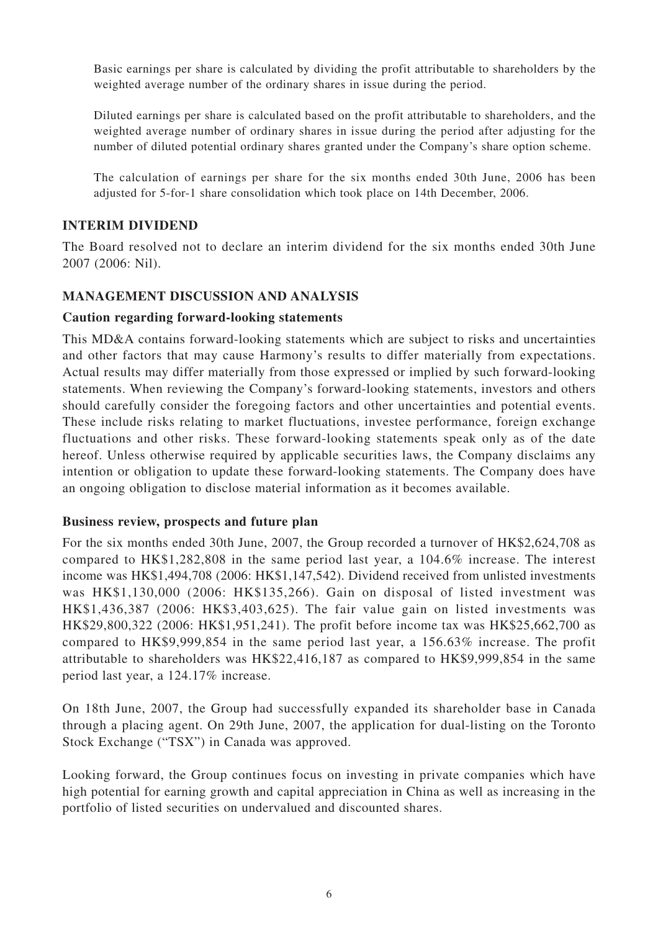Basic earnings per share is calculated by dividing the profit attributable to shareholders by the weighted average number of the ordinary shares in issue during the period.

Diluted earnings per share is calculated based on the profit attributable to shareholders, and the weighted average number of ordinary shares in issue during the period after adjusting for the number of diluted potential ordinary shares granted under the Company's share option scheme.

The calculation of earnings per share for the six months ended 30th June, 2006 has been adjusted for 5-for-1 share consolidation which took place on 14th December, 2006.

## **INTERIM DIVIDEND**

The Board resolved not to declare an interim dividend for the six months ended 30th June 2007 (2006: Nil).

## **MANAGEMENT DISCUSSION AND ANALYSIS**

#### **Caution regarding forward-looking statements**

This MD&A contains forward-looking statements which are subject to risks and uncertainties and other factors that may cause Harmony's results to differ materially from expectations. Actual results may differ materially from those expressed or implied by such forward-looking statements. When reviewing the Company's forward-looking statements, investors and others should carefully consider the foregoing factors and other uncertainties and potential events. These include risks relating to market fluctuations, investee performance, foreign exchange fluctuations and other risks. These forward-looking statements speak only as of the date hereof. Unless otherwise required by applicable securities laws, the Company disclaims any intention or obligation to update these forward-looking statements. The Company does have an ongoing obligation to disclose material information as it becomes available.

#### **Business review, prospects and future plan**

For the six months ended 30th June, 2007, the Group recorded a turnover of HK\$2,624,708 as compared to HK\$1,282,808 in the same period last year, a 104.6% increase. The interest income was HK\$1,494,708 (2006: HK\$1,147,542). Dividend received from unlisted investments was HK\$1,130,000 (2006: HK\$135,266). Gain on disposal of listed investment was HK\$1,436,387 (2006: HK\$3,403,625). The fair value gain on listed investments was HK\$29,800,322 (2006: HK\$1,951,241). The profit before income tax was HK\$25,662,700 as compared to HK\$9,999,854 in the same period last year, a 156.63% increase. The profit attributable to shareholders was HK\$22,416,187 as compared to HK\$9,999,854 in the same period last year, a 124.17% increase.

On 18th June, 2007, the Group had successfully expanded its shareholder base in Canada through a placing agent. On 29th June, 2007, the application for dual-listing on the Toronto Stock Exchange ("TSX") in Canada was approved.

Looking forward, the Group continues focus on investing in private companies which have high potential for earning growth and capital appreciation in China as well as increasing in the portfolio of listed securities on undervalued and discounted shares.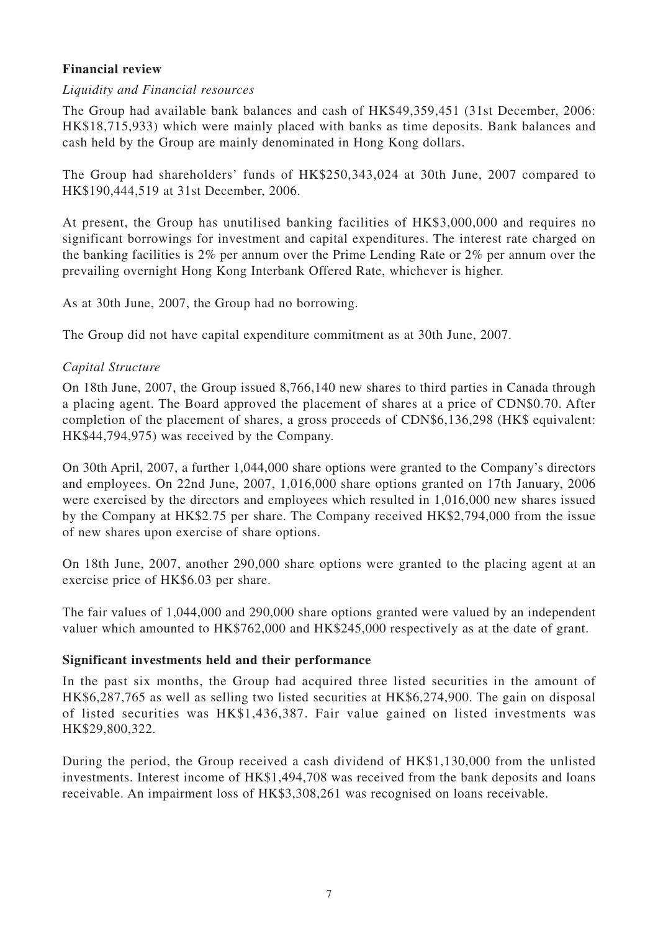## **Financial review**

## *Liquidity and Financial resources*

The Group had available bank balances and cash of HK\$49,359,451 (31st December, 2006: HK\$18,715,933) which were mainly placed with banks as time deposits. Bank balances and cash held by the Group are mainly denominated in Hong Kong dollars.

The Group had shareholders' funds of HK\$250,343,024 at 30th June, 2007 compared to HK\$190,444,519 at 31st December, 2006.

At present, the Group has unutilised banking facilities of HK\$3,000,000 and requires no significant borrowings for investment and capital expenditures. The interest rate charged on the banking facilities is 2% per annum over the Prime Lending Rate or 2% per annum over the prevailing overnight Hong Kong Interbank Offered Rate, whichever is higher.

As at 30th June, 2007, the Group had no borrowing.

The Group did not have capital expenditure commitment as at 30th June, 2007.

## *Capital Structure*

On 18th June, 2007, the Group issued 8,766,140 new shares to third parties in Canada through a placing agent. The Board approved the placement of shares at a price of CDN\$0.70. After completion of the placement of shares, a gross proceeds of CDN\$6,136,298 (HK\$ equivalent: HK\$44,794,975) was received by the Company.

On 30th April, 2007, a further 1,044,000 share options were granted to the Company's directors and employees. On 22nd June, 2007, 1,016,000 share options granted on 17th January, 2006 were exercised by the directors and employees which resulted in 1,016,000 new shares issued by the Company at HK\$2.75 per share. The Company received HK\$2,794,000 from the issue of new shares upon exercise of share options.

On 18th June, 2007, another 290,000 share options were granted to the placing agent at an exercise price of HK\$6.03 per share.

The fair values of 1,044,000 and 290,000 share options granted were valued by an independent valuer which amounted to HK\$762,000 and HK\$245,000 respectively as at the date of grant.

## **Significant investments held and their performance**

In the past six months, the Group had acquired three listed securities in the amount of HK\$6,287,765 as well as selling two listed securities at HK\$6,274,900. The gain on disposal of listed securities was HK\$1,436,387. Fair value gained on listed investments was HK\$29,800,322.

During the period, the Group received a cash dividend of HK\$1,130,000 from the unlisted investments. Interest income of HK\$1,494,708 was received from the bank deposits and loans receivable. An impairment loss of HK\$3,308,261 was recognised on loans receivable.